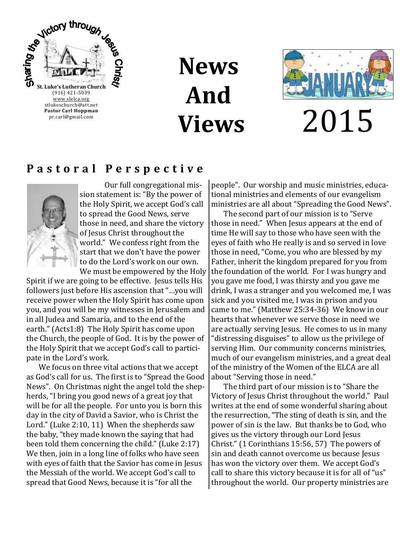

**News And Views**



2015

### **P a s t o r a l P e r s p e c t i v e**



Our full congregational mission statement is: "By the power of the Holy Spirit, we accept God's call to spread the Good News, serve those in need, and share the victory of Jesus Christ throughout the world." We confess right from the start that we don't have the power to do the Lord's work on our own. We must be empowered by the Holy

Spirit if we are going to be effective. Jesus tells His followers just before His ascension that "…you will receive power when the Holy Spirit has come upon you, and you will be my witnesses in Jerusalem and in all Judea and Samaria, and to the end of the earth." (Acts1:8) The Holy Spirit has come upon the Church, the people of God. It is by the power of the Holy Spirit that we accept God's call to participate in the Lord's work.

We focus on three vital actions that we accept as God's call for us. The first is to "Spread the Good News". On Christmas night the angel told the shepherds, "I bring you good news of a great joy that will be for all the people. For unto you is born this day in the city of David a Savior, who is Christ the Lord." (Luke 2:10, 11) When the shepherds saw the baby, "they made known the saying that had been told them concerning the child." (Luke 2:17) We then, join in a long line of folks who have seen with eyes of faith that the Savior has come in Jesus the Messiah of the world. We accept God's call to spread that Good News, because it is "for all the

people". Our worship and music ministries, educational ministries and elements of our evangelism ministries are all about "Spreading the Good News".

The second part of our mission is to "Serve those in need." When Jesus appears at the end of time He will say to those who have seen with the eyes of faith who He really is and so served in love those in need, "Come, you who are blessed by my Father, inherit the kingdom prepared for you from the foundation of the world. For I was hungry and you gave me food, I was thirsty and you gave me drink, I was a stranger and you welcomed me, I was sick and you visited me, I was in prison and you came to me." (Matthew 25:34-36) We know in our hearts that whenever we serve those in need we are actually serving Jesus. He comes to us in many "distressing disguises" to allow us the privilege of serving Him. Our community concerns ministries, much of our evangelism ministries, and a great deal of the ministry of the Women of the ELCA are all about "Serving those in need."

The third part of our mission is to "Share the Victory of Jesus Christ throughout the world." Paul writes at the end of some wonderful sharing about the resurrection, "The sting of death is sin, and the power of sin is the law. But thanks be to God, who gives us the victory through our Lord Jesus Christ." (1 Corinthians 15:56, 57) The powers of sin and death cannot overcome us because Jesus has won the victory over them. We accept God's call to share this victory because it is for all of "us" throughout the world. Our property ministries are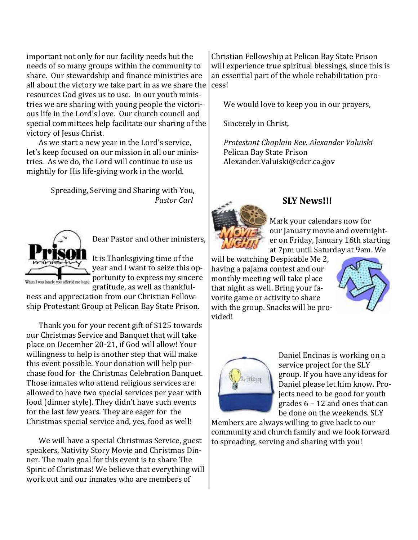important not only for our facility needs but the needs of so many groups within the community to share. Our stewardship and finance ministries are all about the victory we take part in as we share the resources God gives us to use. In our youth ministries we are sharing with young people the victorious life in the Lord's love. Our church council and special committees help facilitate our sharing of the victory of Jesus Christ.

As we start a new year in the Lord's service, let's keep focused on our mission in all our ministries. As we do, the Lord will continue to use us mightily for His life-giving work in the world.

> Spreading, Serving and Sharing with You, *Pastor Carl*



Dear Pastor and other ministers,

It is Thanksgiving time of the year and I want to seize this opbooks you offered me hope. portunity to express my sincere gratitude, as well as thankful-

ness and appreciation from our Christian Fellowship Protestant Group at Pelican Bay State Prison.

Thank you for your recent gift of \$125 towards our Christmas Service and Banquet that will take place on December 20-21, if God will allow! Your willingness to help is another step that will make this event possible. Your donation will help purchase food for the Christmas Celebration Banquet. Those inmates who attend religious services are allowed to have two special services per year with food (dinner style). They didn't have such events for the last few years. They are eager for the Christmas special service and, yes, food as well!

We will have a special Christmas Service, guest speakers, Nativity Story Movie and Christmas Dinner. The main goal for this event is to share The Spirit of Christmas! We believe that everything will work out and our inmates who are members of

Christian Fellowship at Pelican Bay State Prison will experience true spiritual blessings, since this is an essential part of the whole rehabilitation process!

We would love to keep you in our prayers,

Sincerely in Christ,

*Protestant Chaplain Rev. Alexander Valuiski* Pelican Bay State Prison Alexander.Valuiski@cdcr.ca.gov



### **SLY News!!!**

Mark your calendars now for our January movie and overnighter on Friday, January 16th starting at 7pm until Saturday at 9am. We

will be watching Despicable Me 2, having a pajama contest and our monthly meeting will take place that night as well. Bring your favorite game or activity to share with the group. Snacks will be provided!





Daniel Encinas is working on a service project for the SLY group. If you have any ideas for Daniel please let him know. Projects need to be good for youth grades 6 – 12 and ones that can be done on the weekends. SLY

Members are always willing to give back to our community and church family and we look forward to spreading, serving and sharing with you!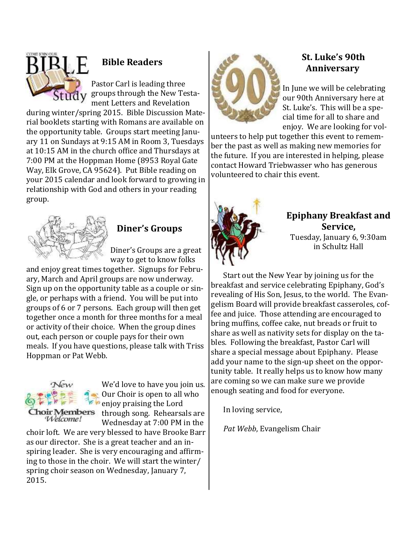

rial booklets starting with Romans are available on the opportunity table. Groups start meeting January 11 on Sundays at 9:15 AM in Room 3, Tuesdays at 10:15 AM in the church office and Thursdays at 7:00 PM at the Hoppman Home (8953 Royal Gate Way, Elk Grove, CA 95624). Put Bible reading on your 2015 calendar and look forward to growing in relationship with God and others in your reading group.



### **Diner's Groups**

Diner's Groups are a great way to get to know folks

and enjoy great times together. Signups for February, March and April groups are now underway. Sign up on the opportunity table as a couple or single, or perhaps with a friend. You will be put into groups of 6 or 7 persons. Each group will then get together once a month for three months for a meal or activity of their choice. When the group dines out, each person or couple pays for their own meals. If you have questions, please talk with Triss Hoppman or Pat Webb.



We'd love to have you join us. Our Choir is open to all who enjoy praising the Lord **toir Members** through song. Rehearsals are Wednesday at 7:00 PM in the

choir loft. We are very blessed to have Brooke Barr as our director. She is a great teacher and an inspiring leader. She is very encouraging and affirming to those in the choir. We will start the winter/ spring choir season on Wednesday, January 7, 2015.



### **St. Luke's 90th Anniversary**

In June we will be celebrating our 90th Anniversary here at St. Luke's. This will be a special time for all to share and enjoy. We are looking for vol-

unteers to help put together this event to remember the past as well as making new memories for the future. If you are interested in helping, please contact Howard Triebwasser who has generous volunteered to chair this event.



### **Epiphany Breakfast and Service,**

Tuesday, January 6, 9:30am in Schultz Hall

Start out the New Year by joining us for the breakfast and service celebrating Epiphany, God's revealing of His Son, Jesus, to the world. The Evangelism Board will provide breakfast casseroles, coffee and juice. Those attending are encouraged to bring muffins, coffee cake, nut breads or fruit to share as well as nativity sets for display on the tables. Following the breakfast, Pastor Carl will share a special message about Epiphany. Please add your name to the sign-up sheet on the opportunity table. It really helps us to know how many are coming so we can make sure we provide enough seating and food for everyone.

In loving service,

*Pat Webb*, Evangelism Chair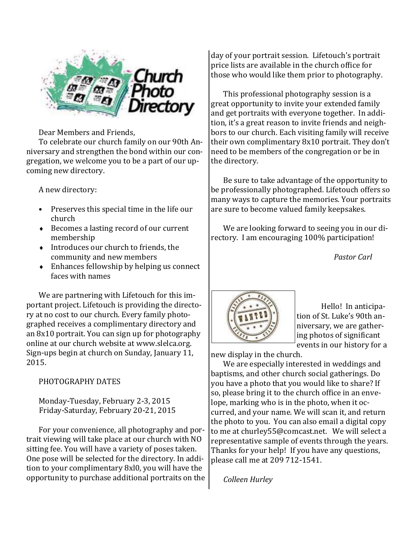

Dear Members and Friends,

To celebrate our church family on our 90th Anniversary and strengthen the bond within our congregation, we welcome you to be a part of our upcoming new directory.

A new directory:

- Preserves this special time in the life our church
- ◆ Becomes a lasting record of our current membership
- $\bullet$  Introduces our church to friends, the community and new members
- Enhances fellowship by helping us connect faces with names

We are partnering with Lifetouch for this important project. Lifetouch is providing the directory at no cost to our church. Every family photographed receives a complimentary directory and an 8x10 portrait. You can sign up for photography online at our church website at www.slelca.org. Sign-ups begin at church on Sunday, January 11, 2015.

#### PHOTOGRAPHY DATES

Monday-Tuesday, February 2-3, 2015 Friday-Saturday, February 20-21, 2015

For your convenience, all photography and portrait viewing will take place at our church with NO sitting fee. You will have a variety of poses taken. One pose will be selected for the directory. In addition to your complimentary 8xl0, you will have the opportunity to purchase additional portraits on the day of your portrait session. Lifetouch's portrait price lists are available in the church office for those who would like them prior to photography.

This professional photography session is a great opportunity to invite your extended family and get portraits with everyone together. In addition, it's a great reason to invite friends and neighbors to our church. Each visiting family will receive their own complimentary 8x10 portrait. They don't need to be members of the congregation or be in the directory.

Be sure to take advantage of the opportunity to be professionally photographed. Lifetouch offers so many ways to capture the memories. Your portraits are sure to become valued family keepsakes.

We are looking forward to seeing you in our directory. I am encouraging 100% participation!

*Pastor Carl*



Hello! In anticipation of St. Luke's 90th anniversary, we are gathering photos of significant events in our history for a

new display in the church.

We are especially interested in weddings and baptisms, and other church social gatherings. Do you have a photo that you would like to share? If so, please bring it to the church office in an envelope, marking who is in the photo, when it occurred, and your name. We will scan it, and return the photo to you. You can also email a digital copy to me at churley55@comcast.net. We will select a representative sample of events through the years. Thanks for your help! If you have any questions, please call me at 209 712-1541.

*Colleen Hurley*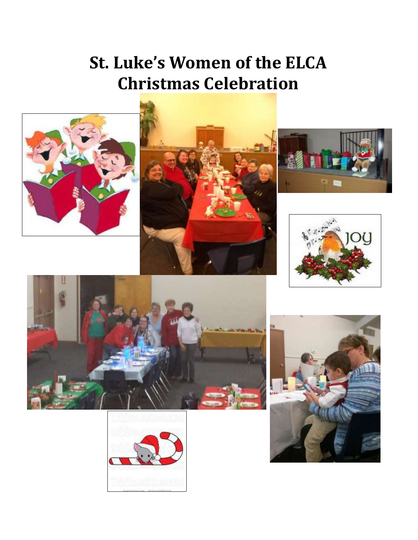### **St. Luke's Women of the ELCA Christmas Celebration**













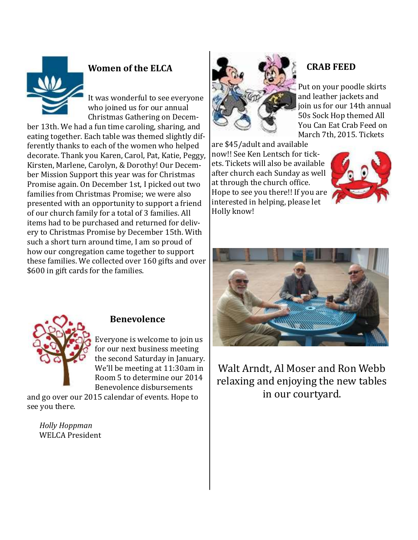

### **Women of the ELCA**

It was wonderful to see everyone who joined us for our annual Christmas Gathering on Decem-

ber 13th. We had a fun time caroling, sharing, and eating together. Each table was themed slightly differently thanks to each of the women who helped decorate. Thank you Karen, Carol, Pat, Katie, Peggy, Kirsten, Marlene, Carolyn, & Dorothy! Our December Mission Support this year was for Christmas Promise again. On December 1st, I picked out two families from Christmas Promise; we were also presented with an opportunity to support a friend of our church family for a total of 3 families. All items had to be purchased and returned for delivery to Christmas Promise by December 15th. With such a short turn around time, I am so proud of how our congregation came together to support these families. We collected over 160 gifts and over \$600 in gift cards for the families.



### **CRAB FEED**

Put on your poodle skirts and leather jackets and join us for our 14th annual 50s Sock Hop themed All You Can Eat Crab Feed on March 7th, 2015. Tickets

are \$45/adult and available now!! See Ken Lentsch for tickets. Tickets will also be available after church each Sunday as well at through the church office. Hope to see you there!! If you are interested in helping, please let Holly know!







### **Benevolence**

Everyone is welcome to join us for our next business meeting the second Saturday in January. We'll be meeting at 11:30am in Room 5 to determine our 2014 Benevolence disbursements

and go over our 2015 calendar of events. Hope to see you there.

*Holly Hoppman* WELCA President

Walt Arndt, Al Moser and Ron Webb relaxing and enjoying the new tables in our courtyard.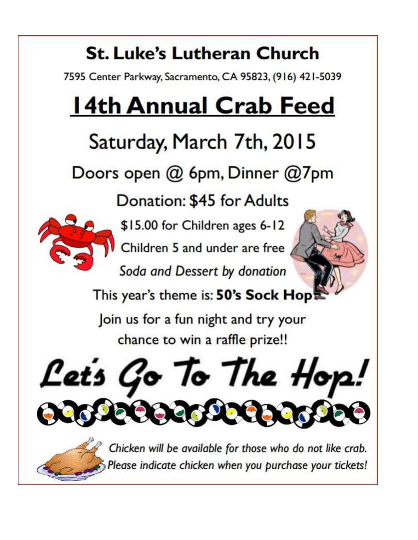## **St. Luke's Lutheran Church**

7595 Center Parkway, Sacramento, CA 95823, (916) 421-5039

# **14th Annual Crab Feed**

# Saturday, March 7th, 2015

Doors open @ 6pm, Dinner @7pm

Donation: \$45 for Adults



\$15.00 for Children ages 6-12

Children 5 and under are free

Soda and Dessert by donation



This year's theme is: 50's Sock Hop

Join us for a fun night and try your chance to win a raffle prize!!



Chicken will be available for those who do not like crab. Please indicate chicken when you purchase your tickets!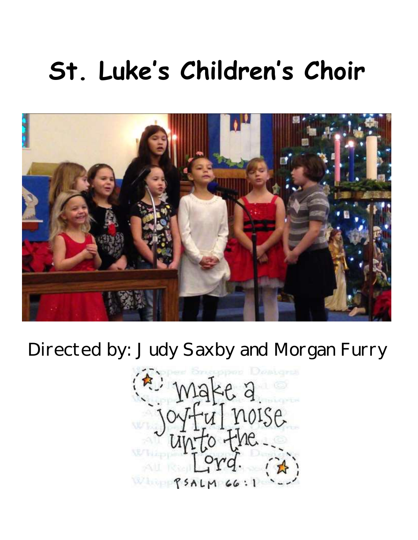# **St. Luke's Children's Choir**



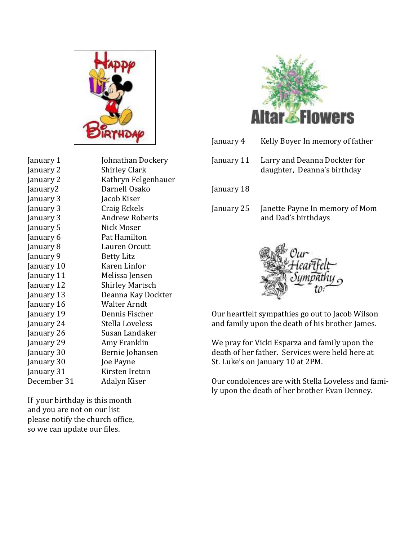

January 1 Johnathan Dockery January 2 Shirley Clark January 2 Kathryn Felgenhauer January2 Darnell Osako January 3 Jacob Kiser January 3 Craig Eckels January 3 Andrew Roberts January 5 Nick Moser January 6 Pat Hamilton January 8 Lauren Orcutt January 9 Betty Litz January 10 Karen Linfor January 11 Melissa Jensen January 12 Shirley Martsch January 13 Deanna Kay Dockter January 16 Walter Arndt January 19 Dennis Fischer January 24 Stella Loveless January 26 Susan Landaker January 29 Amy Franklin January 30 Bernie Johansen January 30 **Joe Payne** January 31 Kirsten Ireton December 31 Adalyn Kiser

If your birthday is this month and you are not on our list please notify the church office, so we can update our files.



- January 4 Kelly Boyer In memory of father
- January 11 Larry and Deanna Dockter for daughter, Deanna's birthday

January 18

January 25 Janette Payne In memory of Mom and Dad's birthdays



Our heartfelt sympathies go out to Jacob Wilson and family upon the death of his brother James.

We pray for Vicki Esparza and family upon the death of her father. Services were held here at St. Luke's on January 10 at 2PM.

Our condolences are with Stella Loveless and family upon the death of her brother Evan Denney.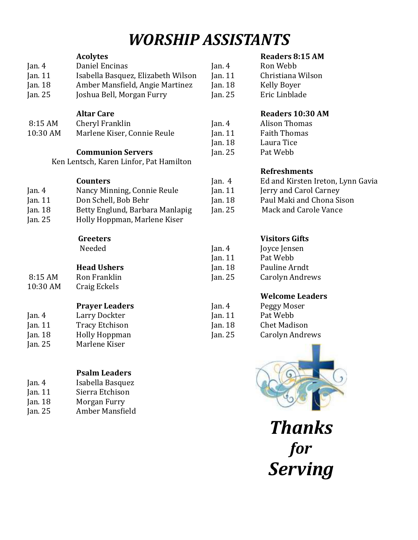### *WORSHIP ASSISTANTS*

|          | <b>Acolytes</b>                         |          |
|----------|-----------------------------------------|----------|
| Jan. 4   | Daniel Encinas                          | Jan. $4$ |
| Jan. 11  | Isabella Basquez, Elizabeth Wilson      | Jan. 11  |
| Jan. 18  | Amber Mansfield, Angie Martinez         | Jan. 18  |
| Jan. 25  | Joshua Bell, Morgan Furry               | Jan. 25  |
|          |                                         |          |
|          | <b>Altar Care</b>                       |          |
| 8:15 AM  | Cheryl Franklin                         | Jan. $4$ |
| 10:30 AM | Marlene Kiser, Connie Reule             | Jan. 11  |
|          |                                         | Jan. 18  |
|          | <b>Communion Servers</b>                | Jan. 25  |
|          | Ken Lentsch, Karen Linfor, Pat Hamilton |          |
|          |                                         |          |
|          | <b>Counters</b>                         | Jan. $4$ |
| Jan. $4$ | Nancy Minning, Connie Reule             | Jan. 11  |
| Jan. 11  | Don Schell, Bob Behr                    | Jan. 18  |
| Jan. 18  | Betty Englund, Barbara Manlapig         | Jan. 25  |
| Jan. 25  | Holly Hoppman, Marlene Kiser            |          |
|          | <b>Greeters</b>                         |          |
|          | Needed                                  | Jan. $4$ |
|          |                                         | Jan. 11  |
|          | <b>Head Ushers</b>                      | Jan. 18  |
| 8:15 AM  | Ron Franklin                            | Jan. 25  |
| 10:30 AM | Craig Eckels                            |          |
|          |                                         |          |
|          | <b>Prayer Leaders</b>                   | Jan. $4$ |
| Jan. $4$ | Larry Dockter                           | Jan. 11  |
| Jan. 11  | <b>Tracy Etchison</b>                   | Jan. 18  |
| Jan. 18  | <b>Holly Hoppman</b>                    | Jan. 25  |
| Jan. 25  | Marlene Kiser                           |          |
|          |                                         |          |
|          |                                         |          |
|          | Psalm Leaders                           |          |

| Isabella Basquez |
|------------------|
| Sierra Etchison  |
| Morgan Furry     |
| Amber Mansfield  |
|                  |

### **Readers 8:15 AM**

| Jan. $4$  | Ron Webb          |
|-----------|-------------------|
| Jan. $11$ | Christiana Wilson |
| Jan. $18$ | Kelly Boyer       |
| Jan. 25   | Eric Linblade     |

### **Readers 10:30 AM**

| Jan. 4  | Alison Thomas       |
|---------|---------------------|
| Jan. 11 | <b>Faith Thomas</b> |
| Jan. 18 | Laura Tice          |
| Jan. 25 | Pat Webb            |

#### **Refreshments**

| Jan. 4  | Ed and Kirsten Ireton, Lynn Gavia |
|---------|-----------------------------------|
| Jan. 11 | Jerry and Carol Carney            |
| Jan. 18 | Paul Maki and Chona Sison         |
| Jan. 25 | Mack and Carole Vance             |
|         |                                   |

### **Visitors Gifts**

| Jan. $4$  | Joyce Jensen    |
|-----------|-----------------|
| Jan. $11$ | Pat Webb        |
| Jan. $18$ | Pauline Arndt   |
| Jan. $25$ | Carolyn Andrews |

### **Welcome Leaders**

| Jan. 4  | Peggy Moser         |
|---------|---------------------|
| Jan. 11 | Pat Webb            |
| Jan. 18 | <b>Chet Madison</b> |
| Jan. 25 | Carolyn Andrews     |



*Thanks for Serving*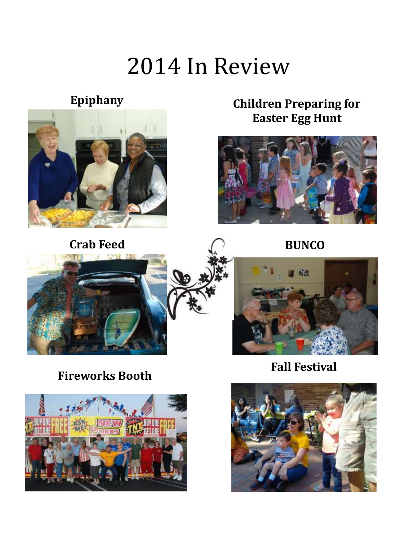# 2014 In Review

### **Epiphany**



**Crab Feed BUNCO** 

### **Children Preparing for Easter Egg Hunt**









**Fall Festival**



**Fireworks Booth**